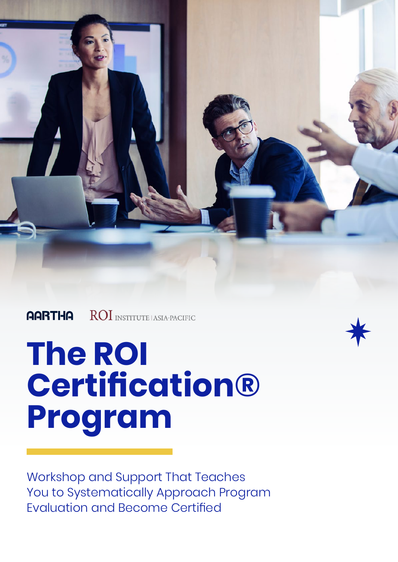ROI INSTITUTE LASIA-PACIFIC **AARTHA** 

# **The ROI Certification® Program**

Workshop and Support That Teaches You to Systematically Approach Program Evaluation and Become Certified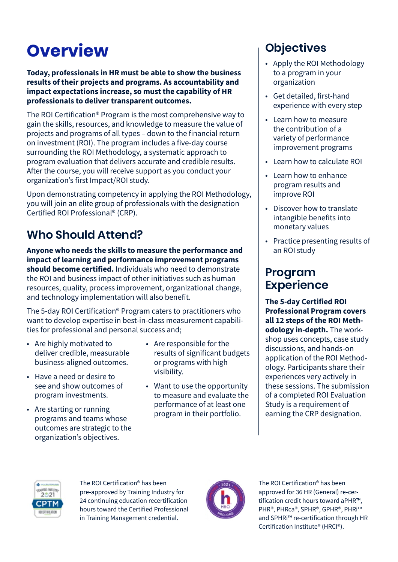# **Overview**

**Today, professionals in HR must be able to show the business results of their projects and programs. As accountability and impact expectations increase, so must the capability of HR professionals to deliver transparent outcomes.**

The ROI Certification® Program is the most comprehensive way to gain the skills, resources, and knowledge to measure the value of projects and programs of all types – down to the financial return on investment (ROI). The program includes a five-day course surrounding the ROI Methodology, a systematic approach to program evaluation that delivers accurate and credible results. After the course, you will receive support as you conduct your organization's first Impact/ROI study.

Upon demonstrating competency in applying the ROI Methodology, you will join an elite group of professionals with the designation Certified ROI Professional® (CRP).

## **Who Should Attend?**

**Anyone who needs the skills to measure the performance and impact of learning and performance improvement programs should become certified.** Individuals who need to demonstrate the ROI and business impact of other initiatives such as human resources, quality, process improvement, organizational change, and technology implementation will also benefit.

The 5-day ROI Certification® Program caters to practitioners who want to develop expertise in best-in-class measurement capabilities for professional and personal success and;

- Are highly motivated to deliver credible, measurable business-aligned outcomes.
- Have a need or desire to see and show outcomes of program investments.
- Are starting or running programs and teams whose outcomes are strategic to the organization's objectives.
- Are responsible for the results of significant budgets or programs with high visibility.
- Want to use the opportunity to measure and evaluate the performance of at least one program in their portfolio.

## **Objectives**

- Apply the ROI Methodology to a program in your organization
- Get detailed, first-hand experience with every step
- Learn how to measure the contribution of a variety of performance improvement programs
- Learn how to calculate ROI
- Learn how to enhance program results and improve ROI
- Discover how to translate intangible benefits into monetary values
- Practice presenting results of an ROI study

## **Program Experience**

**The 5-day Certified ROI Professional Program covers all 12 steps of the ROI Methodology in-depth.** The workshop uses concepts, case study discussions, and hands-on application of the ROI Methodology. Participants share their experiences very actively in these sessions. The submission of a completed ROI Evaluation Study is a requirement of earning the CRP designation.



The ROI Certification® has been pre-approved by Training Industry for 24 continuing education recertification hours toward the Certified Professional in Training Management credential.



The ROI Certification® has been approved for 36 HR (General) re-certification credit hours toward aPHR™, PHR®, PHRca®, SPHR®, GPHR®, PHRi™ and SPHRi™ re-certification through HR Certification Institute® (HRCI®).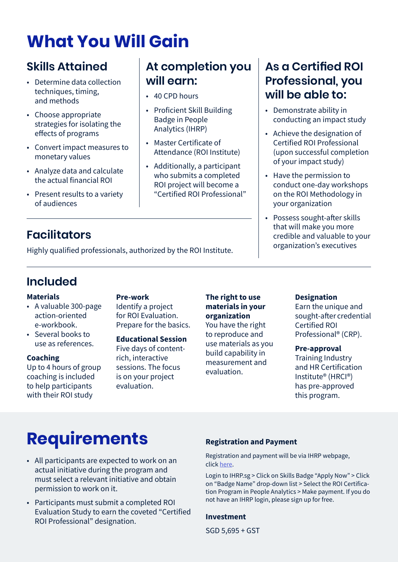## **What You Will Gain**

## **Skills Attained**

- Determine data collection techniques, timing, and methods
- Choose appropriate strategies for isolating the effects of programs
- Convert impact measures to monetary values
- Analyze data and calculate the actual financial ROI
- Present results to a variety of audiences

## **Facilitators**

Highly qualified professionals, authorized by the ROI Institute.

## **Included**

#### **Materials**

- A valuable 300-page action-oriented e-workbook.
- Several books to use as references.

#### **Coaching**

Up to 4 hours of group coaching is included to help participants with their ROI study

**Pre-work**

Identify a project for ROI Evaluation. Prepare for the basics.

### **Educational Session**

Five days of contentrich, interactive sessions. The focus is on your project evaluation.

#### **The right to use materials in your organization**

**At completion you** 

• Proficient Skill Building Badge in People Analytics (IHRP)

• Master Certificate of

Attendance (ROI Institute)

• Additionally, a participant who submits a completed ROI project will become a "Certified ROI Professional"

**will earn:**

• 40 CPD hours

You have the right to reproduce and use materials as you build capability in measurement and evaluation.

## **As a Certified ROI Professional, you will be able to:**

- Demonstrate ability in conducting an impact study
- Achieve the designation of Certified ROI Professional (upon successful completion of your impact study)
- Have the permission to conduct one-day workshops on the ROI Methodology in your organization
- Possess sought-after skills that will make you more credible and valuable to your organization's executives

#### **Designation**

Earn the unique and sought-after credential Certified ROI Professional® (CRP).

#### **Pre-approval**

Training Industry and HR Certification Institute® (HRCI®) has pre-approved this program.

## **Requirements**

- All participants are expected to work on an actual initiative during the program and must select a relevant initiative and obtain permission to work on it.
- Participants must submit a completed ROI Evaluation Study to earn the coveted "Certified ROI Professional" designation.

#### **Registration and Payment**

Registration and payment will be via IHRP webpage, click [here](https://ihrp.microsoftcrmportals.com/).

Login to IHRP.sg > Click on Skills Badge "Apply Now" > Click on "Badge Name" drop-down list > Select the ROI Certification Program in People Analytics > Make payment. If you do not have an IHRP login, please sign up for free.

#### **Investment**

SGD 5,695 + GST